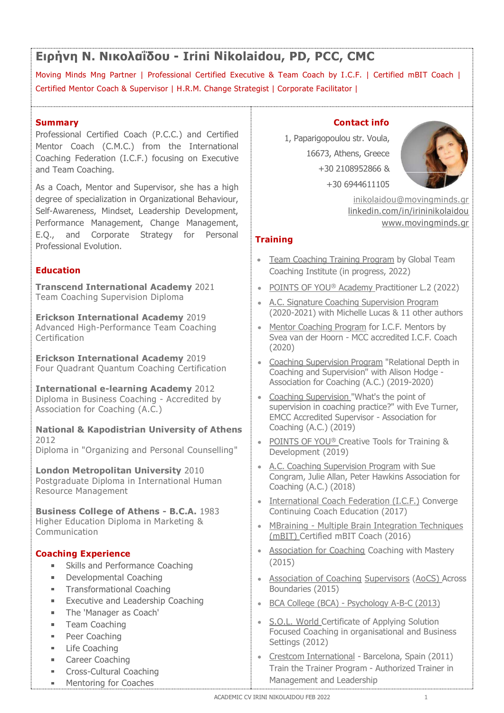# Ειρήνη Ν. Νικολαΐδου - Irini Nikolaidou, PD, PCC, CMC

EIPTY N. NIKOAGTOU – Irini Nikolaidou, PD, PCC, CMC<br>Moving Minds Mng Partner | Professional Certified Executive & Team Coach by I.C.F. | Certified mBIT Coach |<br>Certified Mentor Coach & Supervisor | H.R.M. Change Strategist EIPTY N. NIKOACIOU – Irini Nikolaidou, PD, PCC, CMC<br>
Moving Minds Mng Partner | Professional Certified Executive & Team Coach by I.C.F. | Certified mBIT Coach |<br>
Certified Mentor Coach & Supervisor | H.R.M. Change Strategi EIPNYN N. NIKOAdiOOU - Irini Nikolaidou, PD, PCC, CMC<br>
Moving Minds Mng Partner | Professional Certified Executive & Team Coach by I.C.F. | Certified mBIT Coach |<br>
Certified Mentor Coach & Supervisor | H.R.M. Change Strate EIPNYM N. NIKOACIOU - Irini Nikolaidou, PD, PCC, CMC<br>
Moving Minds Mng Partner | Professional Certified Executive & Team Coach by I.C.F. | Certified mBIT Coach |<br>
Certified Mentor Coach & Supervisor | H.R.M. Change Strateg

# Summary

EIPITUM N. NIKOACTOU - Trini Nikolaidou, PD, PCC, CMC<br>
Moving Minds Mng Partner | Professional Certified Executive & Team Coach by I.C.F. | C<br>
Certified Mentor Coach & Supervisor | H.R.M. Change Strategist | Corporate Faci EIPITUM N. NIKOACTOU - Trini Nikolaidou, PD, PCC, C<br>
Moving Minds Mng Partner | Professional Certified Executive & Team Coach by I.C.<br>
Certified Mentor Coach & Supervisor | H.R.M. Change Strategist | Corporate Facilitator<br>

EIPTYIN IN THE READ TOTATE THE MENTURE TO MOVING THE MENT COACH THE MENT COACH THE MENT COACH THE COACH THE COACH COACH THE MENT COACH COACH THE MENT COACH THE PROPERTIES CONDUCT THE MENT COACH THE PROPERTIES PRESSION CONT degree of specialization in Organizational Behaviour, Self-Awareness, Mindset, Leadership Development, Performance Management, Change Management, E.Q., and Corporate Strategy for Personal Professional Evolution. Moving Minds Mng Partner | Professional Certified Executive & Team Coach by I.C.F. | Certified mBIT<br>Certified Mentor Coach & Supervisor | H.R.M. Change Strategist | Corporate Facilitator |<br>
Moving Minds Mng Partner | Profe Examel Next Youth Coaching Contact Transformational Certification (C.M.C.) from the International Certification<br>
Mentor Coaching Federation (I.C.F.) focusing on Executive<br>
and Team Coaching Federation in Organizational Beh Professional Certified Coach (P.C.C.) and Certified and Team Coaching Federation in Orangizational Behavior Certified Coaching Federation International Academy 2019<br>
Federation International Academy 2019<br>
Federation Intern As a Coaching Metric and Supervison, See The Mational Business, Mindset, Leadership Development,<br>
Ecli-Awareness, Mindset, Leadership Development,<br>
Professional Evolution.<br>
Ecli-, and Corporate Strategy for Personal<br>
Profe

# Education

Team Coaching Supervision Diploma<br>
• A.C. Signature Coaching Supervision Program

Certification

International e-learning Academy 2012 Association for Coaching (A.C.) According International Academy 2019<br>
Continentation International Academy 2019<br>
Continentational Academy 2019<br>
Coaching Supervision Procedited Systems in Business Coaching (A.C.)<br>
2012<br>
2012<br>
2012<br>
2012<br>
2012<br>
2012<br>
2012<br>

National & Kapodistrian University of Athens 2012

Diploma in "Organizing and Personal Counselling" Development (2019)

Postgraduate Diploma in International Human Resource Management

Higher Education Diploma in Marketing & MBraining - Multiple Brain Integration Techniques Communication

- **EXELU** Skills and Performance Coaching
- 
- Transformational Coaching Transformational Coaching Transformational Coaching Transformational Boundaries (2015)
- 
- $\mathbf{m}$  . The 'Manager as Coach'
- 
- **Peer Coaching**
- 
- **College**
- Cross-Cultural Coaching **Contract Contract**
- m. Co Mentoring for Coaches

### Contact info

PD, PCC, CMC<br>
eam Coach by I.C.F. | Certified mBIT Coach |<br>
prporate Facilitator |<br>
Contact info<br>
1, Paparigopoulou str. Voula,<br>
16673, Athens, Greece<br>
+30 2108952866 &<br>
+30 6944611105 **DU, PD, PCC, CMC**<br>
& Team Coach by I.C.F. | Certified mBIT Coach |<br>
| Corporate Facilitator |<br>
<br> **Contact info**<br>
1, Paparigopoulou str. Voula,<br>
16673, Athens, Greece<br>
+30 2108952866 &<br>
+30 6944611105<br>
<u>inikolaidou@movingm</u> Contact info<br>
1. Paparigopoulou str. Voula,<br>
1. Aparigopoulou str. Voula,<br>
1. 4673, Athens, Greece<br>
1. 430 8944611105<br>
1. Allowskill program by Global Team<br>
1. The monothing Supervision Program<br>
1. The Coaching Training Pr **Contact info**<br>
1, Paparigopoulou str. Voula,<br>
16673, Athens, Greece<br>
+30 2108952866 &<br>
+30 6944611105<br>
<u>inikolaidou@movingminds.or</u><br>
<u>linkedin.com/in/irininikolaidou</u><br>
<u>www.movingminds.or</u><br> **ining**<br>
Team Coaching Training Contact info<br>
1, Paparigopoulou str. Voula,<br>
16673, Athens, Greece<br>
+30 2108952866 &<br>
+30 6944611105<br>
<u>inikolaidou@movingminds.gr</u><br>
<u>linkedin.com/in/irininikolaidou<br>
www.movingminds.gr<br> **ining**<br>
Team Coaching Training Prog</u>



inikolaidou@movingminds.gr linkedin.com/in/irininikolaidou www.movingminds.gr

# **Training**

- Coaching Institute (in progress, 2022)
- POINTS OF YOU<sup>®</sup> Academy Practitioner L.2 (2022)
- (2020-2021) with Michelle Lucas & 11 other authors
- Advanced High-Performance Team Coaching **and Community of the Mentor Coaching Program** for I.C.F. Mentors by<br>Certification Certification Coaching Syea van der Hoorn MCC accredited I.C.F. Coach (2020)
- **EFICKSON International Academy** 2019<br>Four Quadrant Quantum Coaching Certification<br>Coaching and Supervision" with Alison Hodge -1, Paparigopoulou str. Voula,<br>
16673, Athens, Greece<br>
+30 2108952866 &<br>
+30 6944611105<br>
inikolaidou@movingminds.gr<br>
linkedin.com/in/irininikolaidou<br>
www.movingminds.gr<br> **ining**<br>
Team Coaching Training Program by Global Tea 16673, Athens, Greece<br>
+30 2108952866 &<br>
+30 6944611105<br>
inikolaidou@movingminds.gr<br>
inikolaidou@movingminds.gr<br>
inikolaidou@movingminds.gr<br> **ining**<br>
Team Coaching Training Program by Global Team<br>
Coaching Institute (in pr Association for Coaching (A.C.) (2019-2020)
- Transcend International Academy 2019<br>
Team Coaching Supervision Diploma<br>
Erickson International Academy 2019<br>
Erickson International Academy 2019<br>
Erickson International Academy 2019<br>
Erickson International Academy 2019<br>
E Coaching Supervision "What's the point of +30 6944611105<br>
inikolaidou@movingminds.gr<br>
linkedin.com/in/irininikolaidou<br>
www.movingminds.gr<br>
Team Coaching Training Program by Global Team<br>
Coaching Institute (in progress, 2022)<br>
POINTS OF YOU® Academy Practitioner L inikolaidou@movingminds.gr<br>
inhedin.com/in/irininikolaidou<br>
www.movingminds.gr<br>
Team Coaching Training Program by Global Team<br>
Coaching Institute (in progress, 2022)<br>
POINTS OF YOU® Academy Practitioner L.2 (2022)<br>
A.C. Si Coaching (A.C.) (2019) ming<br>
Team Coaching Training Program by Global Team<br>
Coaching Institute (in progress, 2022)<br>
POINTS OF YOU® Academy Practitioner L.2 (2022)<br>
A.C. Signature Coaching Supervision Program<br>
(2020-2021) with Michelle Lucas & 11 **ining**<br>
Team Coaching Training Program by Global Team<br>
Coaching Institute (in progress, 2022)<br>
POINTS OF YOU® Academy Practitioner L.2 (2022)<br>
A.C. Signature Coaching Supervision Program<br>
(2020-2021) with Michelle Lucas & **Train Coaching Training Program** by Global Team<br>Coaching Institute (in progress, 2022)<br>POINTS OF YOU® Academy Practitioner L.2 (2022)<br>A.C. Signature Coaching Supervision Program<br>(2020-2021) with Michelle Lucas & 11 other POINTS OF YOU® Academy Practitioner L.2 (2022)<br>
A.C. Signature Coaching Supervision Program<br>
A.C. Signature Coaching Supervision Program<br>
(2020-2021) with Michelle Lucas & 11 other authors<br>
Mentor Coaching Program for I.C. POINTS OF YOU® Academy Practitioner L.2 (2022)<br>A.C. Signature Coaching Supervision Program<br>(2020-2021) with Michelle Lucas & 11 other authors<br>Mentor Coaching Program for I.C.F. Mentors by<br>Svea van der Hoorn - MCC accredite A.C. Signature Coaching Supervision Program<br>(2020-2021) with Michelle Lucas & 11 other authors<br>Mentor Coaching Program for I.C.F. Mentors by<br>Svea van der Hoorn - MCC accredited I.C.F. Coach<br>(2020)<br>Coaching supervision Prog (2020-2021) with Michelle Lucas & 11 other authors<br>
<u>Mentor Coaching Program</u> for I.C.F. Mentors by<br>
Sivea van der Hoorn - MCC accredited I.C.F. Coach<br>
(2020)<br>
Coaching Supervision Program "Relational Depth in<br>
Coaching an Mentor Coaching Program for I.C.F. Mentors by<br>
Svea van der Hoorn - MCC accredited I.C.F. Coach<br>
(2020)<br>
Coaching Supervision Program "Relational Depth in<br>
Coaching and Supervision" with Alison Hodge -<br>
Association for Coa Coaching Supervision Program "Relational Depth in<br>Coaching and Supervision" with Alison Hodge -<br>Association for Coaching (A.C.) (2019-2020)<br>Coaching Supervision. "What's the point of<br>supervision in coaching practice?" with Coaching and Supervision" rude Coaching and Supervision energian<br>Coaching and Supervision" with Alison Hodge -<br>Association for Coaching (A.C.) (2019-2020)<br>Coaching Supervision "What's the point of<br>supervision in coaching p Association for Coaching (A.C.) (2019-2020)<br>Coaching Supervision "What's the point of<br>supervision in coaching practice?" with Eve Turner,<br>EMCC Accredited Supervisor - Association for<br>Coaching (A.C.) (2019)<br>POINTS OF YOU® C Coaching Supervision."What's the point of<br>supervision in coaching practice?" with Eve Turner,<br>EMCC Accredited Supervisor - Association for<br>Coaching (A.C.) (2019)<br>POINTS OF YOU® Creative Tools for Training &<br>Development (20
	-
- **London Metropolitan University** 2010 **A.C. Coaching Supervision Program** with Sue Congram, Julie Allan, Peter Hawkins Association for Coaching (A.C.) (2018)
	-
	-
	- (2015)
	- Developmental Coaching **Compact Access Coaching Supervisors (Accs)** Across
		- Executive and Leadership Coaching **Executive and Leadership Coaching Executive and Leadership Coaching**
- Team Coaching Focused Coaching in organisational and Business Settings (2012) **POINTS OF YOU® Creative Tools for Training &**<br>**Development (2019)**<br>**A.C. Coaching Supervision Program** with Sue<br>Congram, Julie Allan, Peter Hawkins Association for<br>Coaching (A.C.) (2018)<br>**International Coach Edecration (** POINTS OF TOO Cleautre Toos for Training &<br>Development (2019)<br>A.C. Coaching Supervision Program with Sue<br>Congram, Julie Allan, Peter Hawkins Association for<br>Coaching (A.C.) (2018)<br>International Coach Education (2017)<br>MBrai
	- Life Coaching<br>■ Career Coaching → Communicational Barcelona, Spain (2011) Career Coaching Constant Consumer Coaching Consumer Coaching Consumer Coaching Consumer Coaching Consumer Consumer Consumer Consumer Consumer Consumer Consumer Consumer Consumer Consumer Consumer Consumer Consumer Consumer Management and Leadership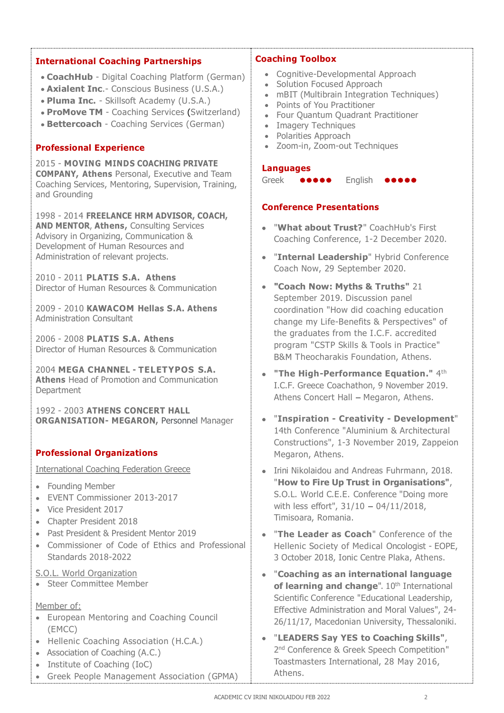# International Coaching Partnerships

- CoachHub Digital Coaching Platform (German)
- Axialent Inc. Conscious Business (U.S.A.)
- Pluma Inc. Skillsoft Academy (U.S.A.)
- ProMove TM Coaching Services (Switzerland)
- Bettercoach Coaching Services (German)

# Professional Experience

2015 - MOVING MINDS COACHING PRIVATE COMPANY, Athens Personal, Executive and Team Coaching Services, Mentoring, Supervision, Training, and Grounding

1998 - 2014 FREELANCE HRM ADVISOR, COACH, AND MENTOR, Athens, Consulting Services Advisory in Organizing, Communication & Coaching Conference, 1-2 December 2020. Development of Human Resources and Administration of relevant projects.

2010 - 2011 PLATIS S.A. Athens Director of Human Resources & Communication

2009 - 2010 KAWACOM Hellas S.A. Athens<br>Administration Consultant

2006 - 2008 PLATIS S.A. Athens Director of Human Resources & Communication

2004 MEGA CHANNEL - TELETYPOS S.A.<br>Athens Head of Promotion and Communication **Department** 

1992 - 2003 ATHENS CONCERT HALL ORGANISATION- MEGARON, Personnel Manager

# Professional Organizations

- Founding Member
- EVENT Commissioner 2013-2017
- Vice President 2017
- Chapter President 2018
- Past President & President Mentor 2019
- Commissioner of Code of Ethics and Professional Standards 2018-2022

S.O.L. World Organization

**Steer Committee Member** 

#### Member of:

- (EMCC)
- 
- Association of Coaching (A.C.)
- Institute of Coaching (IoC)
- Greek People Management Association (GPMA)

# Coaching Toolbox

- Cognitive-Developmental Approach
- Solution Focused Approach
- mBIT (Multibrain Integration Techniques)
- Points of You Practitioner
- Four Quantum Quadrant Practitioner
- Imagery Techniques
- Polarities Approach  $\bullet$
- Zoom-in, Zoom-out Techniques  $\bullet$

#### Languages

**COOOO** English

# Conference Presentations

- "What about Trust?" CoachHub's First
- "Internal Leadership" Hybrid Conference Coach Now, 29 September 2020.
- "Coach Now: Myths & Truths" 21 September 2019. Discussion panel coordination "How did coaching education change my Life-Benefits & Perspectives" of the graduates from the I.C.F. accredited program "CSTP Skills & Tools in Practice" B&M Theocharakis Foundation, Athens.
- $\bullet$  "The High-Performance Equation."  $4<sup>th</sup>$ I.C.F. Greece Coachathon, 9 November 2019. Athens Concert Hall - Megaron, Athens.
- "Inspiration Creativity Development" 14th Conference "Aluminium & Architectural Constructions", 1-3 November 2019, Zappeion Megaron, Athens.
- International Coaching Federation Greece **International Coaching Federation Greece International Study 198.** "**How to Fire Up Trust in Organisations**", S.O.L. World C.E.E. Conference "Doing more with less effort",  $31/10 - 04/11/2018$ , Timisoara, Romania.<br>• "The Leader as Coach" Conference of the
	- Hellenic Society of Medical Oncologist EOPE, 3 October 2018, Ionic Centre Plaka, Athens.<br>• "Coaching as an international language
- European Mentoring and Coaching Council 26/11/17, Macedonian University, Thessaloniki. of learning and change".  $10<sup>th</sup>$  International Scientific Conference "Educational Leadership, Effective Administration and Moral Values", 24-
- Hellenic Coaching Association (H.C.A.) "LEADERS Say YES to Coaching Skills", 2<sup>nd</sup> Conference & Greek Speech Competition" Toastmasters International, 28 May 2016, Athens.